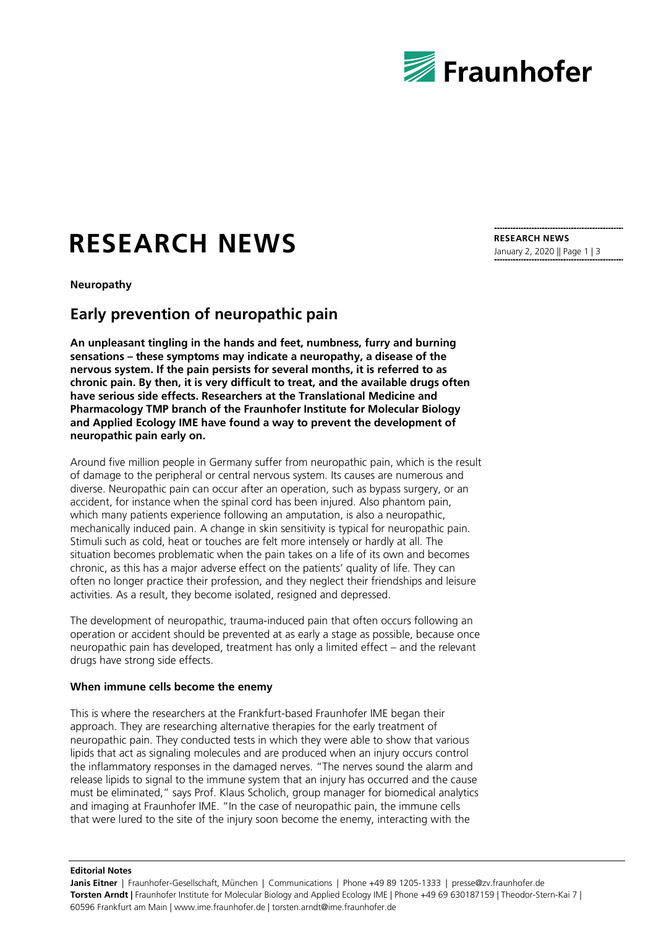

# **RESEARCH NEWS**

**Neuropathy**

### **Early prevention of neuropathic pain**

**An unpleasant tingling in the hands and feet, numbness, furry and burning sensations – these symptoms may indicate a neuropathy, a disease of the nervous system. If the pain persists for several months, it is referred to as chronic pain. By then, it is very difficult to treat, and the available drugs often have serious side effects. Researchers at the Translational Medicine and Pharmacology TMP branch of the Fraunhofer Institute for Molecular Biology and Applied Ecology IME have found a way to prevent the development of neuropathic pain early on.**

Around five million people in Germany suffer from neuropathic pain, which is the result of damage to the peripheral or central nervous system. Its causes are numerous and diverse. Neuropathic pain can occur after an operation, such as bypass surgery, or an accident, for instance when the spinal cord has been injured. Also phantom pain, which many patients experience following an amputation, is also a neuropathic, mechanically induced pain. A change in skin sensitivity is typical for neuropathic pain. Stimuli such as cold, heat or touches are felt more intensely or hardly at all. The situation becomes problematic when the pain takes on a life of its own and becomes chronic, as this has a major adverse effect on the patients' quality of life. They can often no longer practice their profession, and they neglect their friendships and leisure activities. As a result, they become isolated, resigned and depressed.

The development of neuropathic, trauma-induced pain that often occurs following an operation or accident should be prevented at as early a stage as possible, because once neuropathic pain has developed, treatment has only a limited effect – and the relevant drugs have strong side effects.

#### **When immune cells become the enemy**

**Editorial Notes**

This is where the researchers at the Frankfurt-based Fraunhofer IME began their approach. They are researching alternative therapies for the early treatment of neuropathic pain. They conducted tests in which they were able to show that various lipids that act as signaling molecules and are produced when an injury occurs control the inflammatory responses in the damaged nerves. "The nerves sound the alarm and release lipids to signal to the immune system that an injury has occurred and the cause must be eliminated," says Prof. Klaus Scholich, group manager for biomedical analytics and imaging at Fraunhofer IME. "In the case of neuropathic pain, the immune cells that were lured to the site of the injury soon become the enemy, interacting with the

#### **RESEARCH NEWS** January 2, 2020 || Page 1 | 3

**Janis Eitner** | Fraunhofer-Gesellschaft, München | Communications | Phone +49 89 1205-1333 | presse@zv.fraunhofer.de **Torsten Arndt |** Fraunhofer Institute for Molecular Biology and Applied Ecology IME | Phone +49 69 630187159 | Theodor-Stern-Kai 7 | 60596 Frankfurt am Main | www.ime.fraunhofer.de | torsten.arndt@ime.fraunhofer.de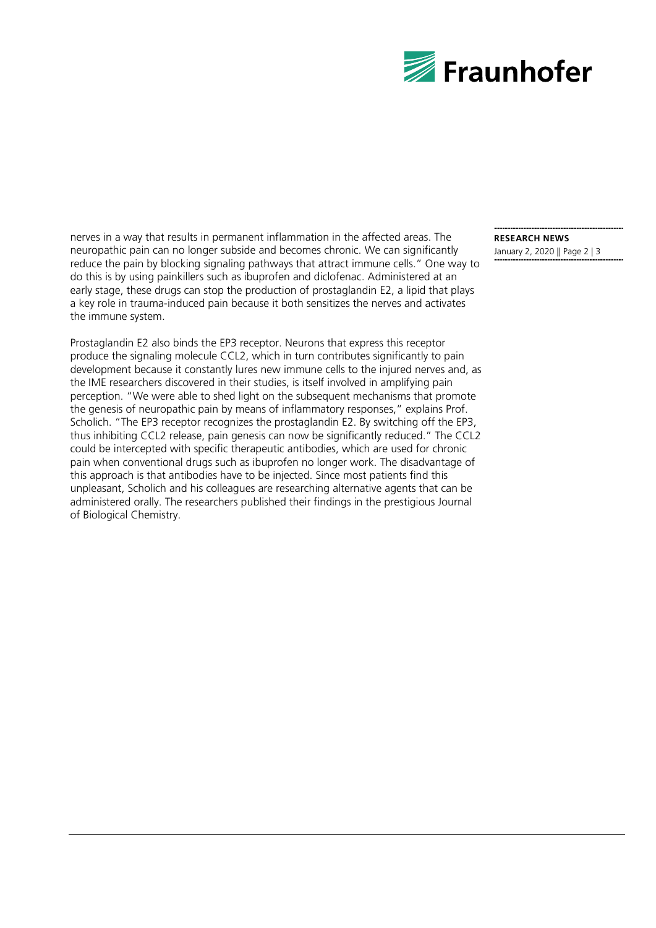

nerves in a way that results in permanent inflammation in the affected areas. The neuropathic pain can no longer subside and becomes chronic. We can significantly reduce the pain by blocking signaling pathways that attract immune cells." One way to do this is by using painkillers such as ibuprofen and diclofenac. Administered at an early stage, these drugs can stop the production of prostaglandin E2, a lipid that plays a key role in trauma-induced pain because it both sensitizes the nerves and activates the immune system.

Prostaglandin E2 also binds the EP3 receptor. Neurons that express this receptor produce the signaling molecule CCL2, which in turn contributes significantly to pain development because it constantly lures new immune cells to the injured nerves and, as the IME researchers discovered in their studies, is itself involved in amplifying pain perception. "We were able to shed light on the subsequent mechanisms that promote the genesis of neuropathic pain by means of inflammatory responses," explains Prof. Scholich. "The EP3 receptor recognizes the prostaglandin E2. By switching off the EP3, thus inhibiting CCL2 release, pain genesis can now be significantly reduced." The CCL2 could be intercepted with specific therapeutic antibodies, which are used for chronic pain when conventional drugs such as ibuprofen no longer work. The disadvantage of this approach is that antibodies have to be injected. Since most patients find this unpleasant, Scholich and his colleagues are researching alternative agents that can be administered orally. The researchers published their findings in the prestigious Journal of Biological Chemistry.

## **RESEARCH NEWS**

January 2, 2020 || Page 2 | 3